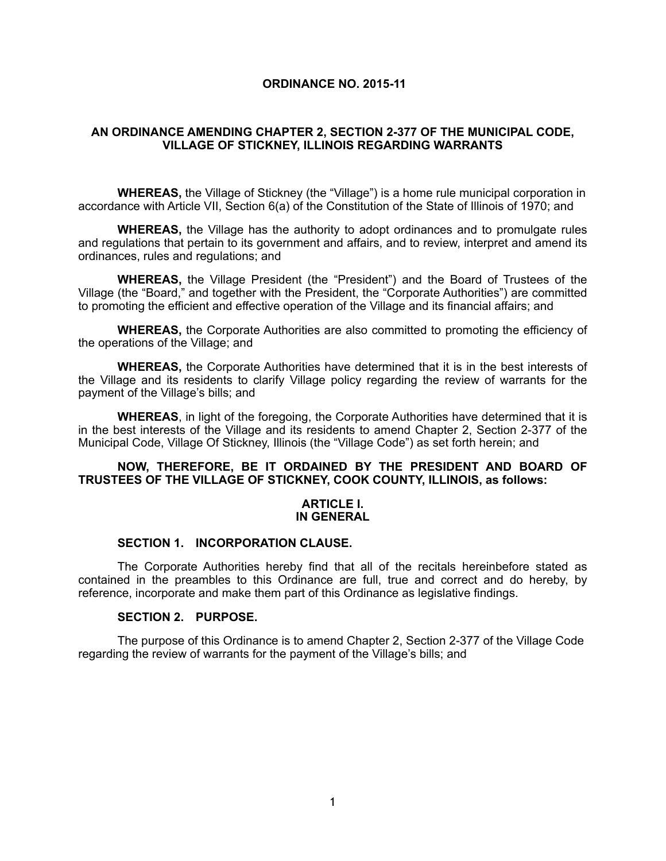### **ORDINANCE NO. 2015-11**

## **AN ORDINANCE AMENDING CHAPTER 2, SECTION 2-377 OF THE MUNICIPAL CODE, VILLAGE OF STICKNEY, ILLINOIS REGARDING WARRANTS**

**WHEREAS,** the Village of Stickney (the "Village") is a home rule municipal corporation in accordance with Article VII, Section 6(a) of the Constitution of the State of Illinois of 1970; and

**WHEREAS,** the Village has the authority to adopt ordinances and to promulgate rules and regulations that pertain to its government and affairs, and to review, interpret and amend its ordinances, rules and regulations; and

**WHEREAS,** the Village President (the "President") and the Board of Trustees of the Village (the "Board," and together with the President, the "Corporate Authorities") are committed to promoting the efficient and effective operation of the Village and its financial affairs; and

**WHEREAS,** the Corporate Authorities are also committed to promoting the efficiency of the operations of the Village; and

**WHEREAS,** the Corporate Authorities have determined that it is in the best interests of the Village and its residents to clarify Village policy regarding the review of warrants for the payment of the Village's bills; and

**WHEREAS**, in light of the foregoing, the Corporate Authorities have determined that it is in the best interests of the Village and its residents to amend Chapter 2, Section 2-377 of the Municipal Code, Village Of Stickney, Illinois (the "Village Code") as set forth herein; and

### **NOW, THEREFORE, BE IT ORDAINED BY THE PRESIDENT AND BOARD OF TRUSTEES OF THE VILLAGE OF STICKNEY, COOK COUNTY, ILLINOIS, as follows:**

#### **ARTICLE I. IN GENERAL**

#### **SECTION 1. INCORPORATION CLAUSE.**

The Corporate Authorities hereby find that all of the recitals hereinbefore stated as contained in the preambles to this Ordinance are full, true and correct and do hereby, by reference, incorporate and make them part of this Ordinance as legislative findings.

## **SECTION 2. PURPOSE.**

 The purpose of this Ordinance is to amend Chapter 2, Section 2-377 of the Village Code regarding the review of warrants for the payment of the Village's bills; and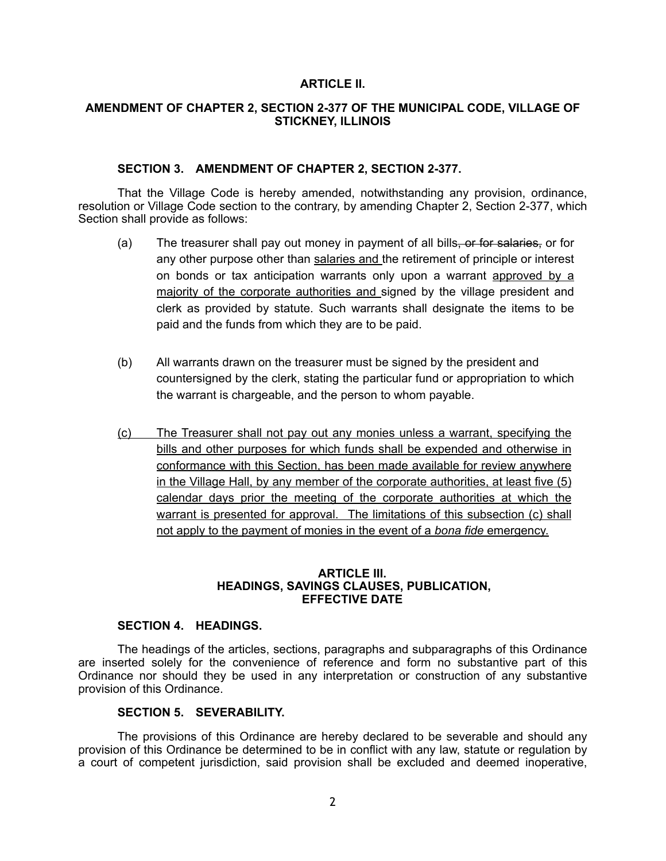### **ARTICLE II.**

## **AMENDMENT OF CHAPTER 2, SECTION 2-377 OF THE MUNICIPAL CODE, VILLAGE OF STICKNEY, ILLINOIS**

## **SECTION 3. AMENDMENT OF CHAPTER 2, SECTION 2-377.**

That the Village Code is hereby amended, notwithstanding any provision, ordinance, resolution or Village Code section to the contrary, by amending Chapter 2, Section 2-377, which Section shall provide as follows:

- (a) The treasurer shall pay out money in payment of all bills, or for salaries, or for any other purpose other than salaries and the retirement of principle or interest on bonds or tax anticipation warrants only upon a warrant approved by a majority of the corporate authorities and signed by the village president and clerk as provided by statute. Such warrants shall designate the items to be paid and the funds from which they are to be paid.
- (b) All warrants drawn on the treasurer must be signed by the president and countersigned by the clerk, stating the particular fund or appropriation to which the warrant is chargeable, and the person to whom payable.
- (c) The Treasurer shall not pay out any monies unless a warrant, specifying the bills and other purposes for which funds shall be expended and otherwise in conformance with this Section, has been made available for review anywhere in the Village Hall, by any member of the corporate authorities, at least five (5) calendar days prior the meeting of the corporate authorities at which the warrant is presented for approval. The limitations of this subsection (c) shall not apply to the payment of monies in the event of a *bona fide* emergency.

#### **ARTICLE III. HEADINGS, SAVINGS CLAUSES, PUBLICATION, EFFECTIVE DATE**

## **SECTION 4. HEADINGS.**

The headings of the articles, sections, paragraphs and subparagraphs of this Ordinance are inserted solely for the convenience of reference and form no substantive part of this Ordinance nor should they be used in any interpretation or construction of any substantive provision of this Ordinance.

## **SECTION 5. SEVERABILITY.**

The provisions of this Ordinance are hereby declared to be severable and should any provision of this Ordinance be determined to be in conflict with any law, statute or regulation by a court of competent jurisdiction, said provision shall be excluded and deemed inoperative,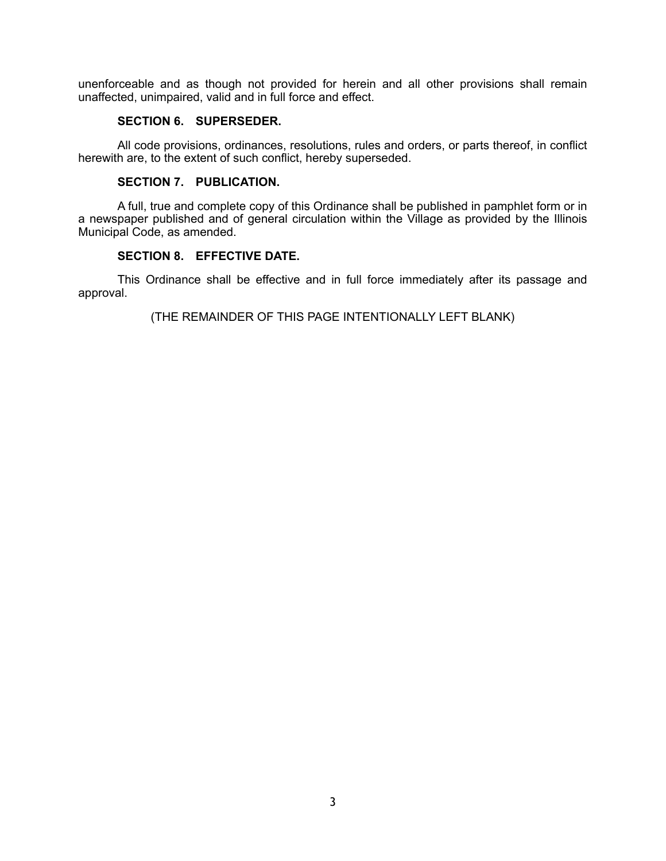unenforceable and as though not provided for herein and all other provisions shall remain unaffected, unimpaired, valid and in full force and effect.

# **SECTION 6. SUPERSEDER.**

All code provisions, ordinances, resolutions, rules and orders, or parts thereof, in conflict herewith are, to the extent of such conflict, hereby superseded.

#### **SECTION 7. PUBLICATION.**

A full, true and complete copy of this Ordinance shall be published in pamphlet form or in a newspaper published and of general circulation within the Village as provided by the Illinois Municipal Code, as amended.

#### **SECTION 8. EFFECTIVE DATE.**

This Ordinance shall be effective and in full force immediately after its passage and approval.

(THE REMAINDER OF THIS PAGE INTENTIONALLY LEFT BLANK)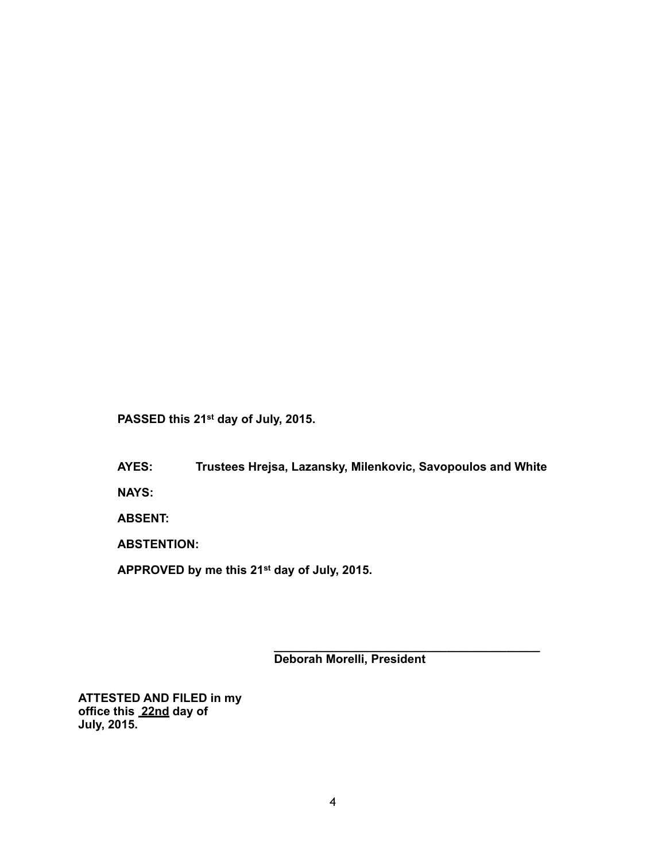**PASSED this 21st day of July, 2015.**

**AYES: Trustees Hrejsa, Lazansky, Milenkovic, Savopoulos and White**

**NAYS:**

**ABSENT:**

**ABSTENTION:**

**APPROVED by me this 21st day of July, 2015.**

**Deborah Morelli, President**

**\_\_\_\_\_\_\_\_\_\_\_\_\_\_\_\_\_\_\_\_\_\_\_\_\_\_\_\_\_\_\_\_\_\_\_\_\_\_\_\_**

**ATTESTED AND FILED in my office this 22nd day of July, 2015.**